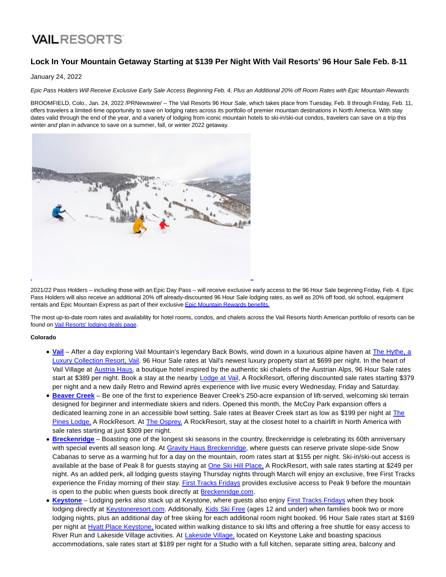# **VAILRESORTS**

# **Lock In Your Mountain Getaway Starting at \$139 Per Night With Vail Resorts' 96 Hour Sale Feb. 8-11**

January 24, 2022

Epic Pass Holders Will Receive Exclusive Early Sale Access Beginning Feb. 4, Plus an Additional 20% off Room Rates with Epic Mountain Rewards

BROOMFIELD, Colo., Jan. 24, 2022 /PRNewswire/ -- The Vail Resorts 96 Hour Sale, which takes place from Tuesday, Feb. 8 through Friday, Feb. 11, offers travelers a limited-time opportunity to save on lodging rates across its portfolio of premier mountain destinations in North America. With stay dates valid through the end of the year, and a variety of lodging from iconic mountain hotels to ski-in/ski-out condos, travelers can save on a trip this winter and plan in advance to save on a summer, fall, or winter 2022 getaway.



2021/22 Pass Holders – including those with an Epic Day Pass – will receive exclusive early access to the 96 Hour Sale beginning Friday, Feb. 4. Epic Pass Holders will also receive an additional 20% off already-discounted 96 Hour Sale lodging rates, as well as 20% off food, ski school, equipment rentals and Epic Mountain Express as part of their exclusiv[e Epic Mountain Rewards benefits.](https://c212.net/c/link/?t=0&l=en&o=3421758-1&h=2172489010&u=https%3A%2F%2Fwww.epicpass.com%2Fbenefits%2Fepic-mountain-rewards.aspx&a=Epic+Mountain+Rewards+benefits.)

The most up-to-date room rates and availability for hotel rooms, condos, and chalets across the Vail Resorts North American portfolio of resorts can be found on [Vail Resorts' lodging deals page.](https://c212.net/c/link/?t=0&l=en&o=3421758-1&h=2598900314&u=https%3A%2F%2Fwww.snow.com%2Finfo%2Flodging-deals.aspx&a=Vail+Resorts%27+lodging+deals+page)

# **Colorado**

- **[Vail](https://c212.net/c/link/?t=0&l=en&o=3421758-1&h=1133086196&u=https%3A%2F%2Fwww.vail.com%2Fplan-your-trip%2Fplanning-a-ski-trip.aspx&a=Vail)** After a day exploring Vail Mountain's legendary Back Bowls, wind down in a luxurious alpine haven at The Hythe, a [Luxury Collection Resort, Vail. 96 Hour Sale rates at Vail's newest luxury property start at \\$699 per night. In the heart of](https://c212.net/c/link/?t=0&l=en&o=3421758-1&h=1890444788&u=https%3A%2F%2Fwww.vail.com%2FPlan-Your-Trip%2Fstay%2Fdetails%2FVail-Marriott-Mountain-Resort-and-Spa%3Flocation%3D9726153&a=The+Hythe%2C+a+Luxury+Collection+Resort%2C+Vail) Vail Village at [Austria Haus,](https://c212.net/c/link/?t=0&l=en&o=3421758-1&h=3383481451&u=https%3A%2F%2Fwww.vail.com%2Fplan-your-trip%2Fstay%2Faustria-haus-hotel.aspx&a=Austria+Haus) a boutique hotel inspired by the authentic ski chalets of the Austrian Alps, 96 Hour Sale rates start at \$389 per night. Book a stay at the nearby [Lodge at Vail,](https://c212.net/c/link/?t=0&l=en&o=3421758-1&h=3917488548&u=https%3A%2F%2Fwww.vail.com%2Fplan-your-trip%2Fstay%2Flodge-at-vail.aspx&a=Lodge+at+Vail) A RockResort, offering discounted sale rates starting \$379 per night and a new daily Retro and Rewind après experience with live music every Wednesday, Friday and Saturday.
- **[Beaver Creek](https://c212.net/c/link/?t=0&l=en&o=3421758-1&h=1513866169&u=https%3A%2F%2Fwww.beavercreek.com%2Fplan-your-trip%2Fplanning-a-ski-trip.aspx&a=Beaver+Creek)** Be one of the first to experience Beaver Creek's 250-acre expansion of lift-served, welcoming ski terrain designed for beginner and intermediate skiers and riders. Opened this month, the McCoy Park expansion offers a dedicated l[earning zone in an accessible bowl setting. Sale rates at Beaver Creek start as low as \\$199 per night at The](https://c212.net/c/link/?t=0&l=en&o=3421758-1&h=4149047432&u=https%3A%2F%2Fwww.beavercreek.com%2Fplan-your-trip%2Fstay%2Fthe-pines-lodge.aspx&a=The+Pines+Lodge%2C) Pines Lodge, A RockResort. At [The Osprey, A](https://c212.net/c/link/?t=0&l=en&o=3421758-1&h=3592780683&u=https%3A%2F%2Fwww.beavercreek.com%2Fplan-your-trip%2Fstay%2Fthe-osprey.aspx&a=The+Osprey%2C) RockResort, stay at the closest hotel to a chairlift in North America with sale rates starting at just \$309 per night.
- **[Breckenridge](https://c212.net/c/link/?t=0&l=en&o=3421758-1&h=4019809189&u=https%3A%2F%2Fwww.breckenridge.com%2Fplan-your-trip%2Fplanning-a-ski-trip.aspx&a=Breckenridge)** Boasting one of the longest ski seasons in the country, Breckenridge is celebrating its 60th anniversary with special events all season long. At [Gravity Haus Breckenridge,](https://c212.net/c/link/?t=0&l=en&o=3421758-1&h=3972720834&u=https%3A%2F%2Fwww.breckenridge.com%2Fplan-your-trip%2Fstay%2Fgravity-haus.aspx&a=Gravity+Haus+Breckenridge) where guests can reserve private slope-side Snow Cabanas to serve as a warming hut for a day on the mountain, room rates start at \$155 per night. Ski-in/ski-out access is available at the base of Peak 8 for guests staying at [One Ski Hill Place, A](https://c212.net/c/link/?t=0&l=en&o=3421758-1&h=3567947689&u=https%3A%2F%2Fwww.breckenridge.com%2FPlan-Your-Trip%2Fstay%2Fdetails%2FOne-Ski-Hill-Place-A-RockResort%3Flocation%3D50016617&a=One+Ski+Hill+Place%2C) RockResort, with sale rates starting at \$249 per night. As an added perk, all lodging guests staying Thursday nights through March will enjoy an exclusive, free First Tracks experience the Friday morning of their stay. [First Tracks Fridays p](https://c212.net/c/link/?t=0&l=en&o=3421758-1&h=6252693&u=https%3A%2F%2Fwww.breckenridge.com%2Fplan-your-trip%2Fstay%2Ffirst-tracks.aspx&a=First+Tracks+Fridays)rovides exclusive access to Peak 9 before the mountain is open to the public when guests book directly at [Breckenridge.com.](https://c212.net/c/link/?t=0&l=en&o=3421758-1&h=3545393412&u=https%3A%2F%2Fwww.breckenridge.com%2F&a=Breckenridge.com)
- **[Keystone](https://c212.net/c/link/?t=0&l=en&o=3421758-1&h=1414528659&u=https%3A%2F%2Fwww.keystoneresort.com%2Fplan-your-trip%2Fplanning-a-ski-trip.aspx&a=Keystone)** Lodging perks also stack up at Keystone, where guests also enjoy [First Tracks Fridays w](https://c212.net/c/link/?t=0&l=en&o=3421758-1&h=2875384050&u=https%3A%2F%2Fwww.keystoneresort.com%2Fplan-your-trip%2Fstay%2Fplay-for-free.aspx&a=First+Tracks+Fridays)hen they book lodging directly at [Keystoneresort.com.](https://c212.net/c/link/?t=0&l=en&o=3421758-1&h=3653536634&u=https%3A%2F%2Fwww.keystoneresort.com%2F&a=Keystoneresort.com) Additionally, [Kids Ski Free \(](https://c212.net/c/link/?t=0&l=en&o=3421758-1&h=2360370088&u=https%3A%2F%2Fwww.keystoneresort.com%2Fplan-your-trip%2Fstay%2Fplay-for-free.aspx&a=Kids+Ski+Free)ages 12 and under) when families book two or more lodging nights, plus an additional day of free skiing for each additional room night booked. 96 Hour Sale rates start at \$169 per night at [Hyatt Place Keystone, l](https://c212.net/c/link/?t=0&l=en&o=3421758-1&h=759155084&u=https%3A%2F%2Fwww.keystoneresort.com%2Fplan-your-trip%2Fstay%2Fhyatt-place-keystone.aspx&a=Hyatt+Place+Keystone%2C)ocated within walking distance to ski lifts and offering a free shuttle for easy access to River Run and Lakeside Village activities. At [Lakeside Village, l](https://c212.net/c/link/?t=0&l=en&o=3421758-1&h=1104856964&u=https%3A%2F%2Fwww.keystoneresort.com%2FPlan-Your-Trip%2Fstay%2Fdetails%2FLakeside-Village-Condominiums%3Flocation%3D50016718&a=Lakeside+Village%2C)ocated on Keystone Lake and boasting spacious accommodations, sale rates start at \$189 per night for a Studio with a full kitchen, separate sitting area, balcony and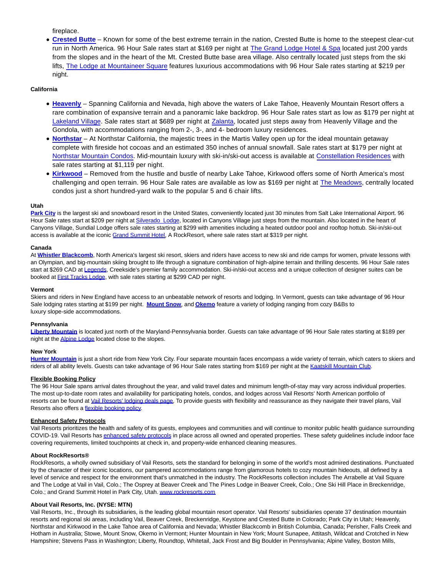fireplace.

**[Crested Butte](https://c212.net/c/link/?t=0&l=en&o=3421758-1&h=2246981890&u=https%3A%2F%2Fwww.skicb.com%2Fplan-your-trip%2Fplanning-a-ski-trip.aspx&a=Crested+Butte)** – Known for some of the best extreme terrain in the nation, Crested Butte is home to the steepest clear-cut run in North America. 96 Hour Sale rates start at \$169 per night at [The Grand Lodge Hotel & Spa](https://c212.net/c/link/?t=0&l=en&o=3421758-1&h=3831721475&u=https%3A%2F%2Fwww.skicb.com%2FPlan-Your-Trip%2Fstay%2Fdetails%2FThe-Grand-Lodge-Crested-Butte-Hotel-and-Suites%3Flocation%3D51149&a=The+Grand+Lodge+Hotel+%26+Spa) located just 200 yards from the slopes and in the heart of the Mt. Crested Butte base area village. Also centrally located just steps from the ski lifts, [The Lodge at Mountaineer Square f](https://c212.net/c/link/?t=0&l=en&o=3421758-1&h=3203354805&u=https%3A%2F%2Fwww.skicb.com%2FPlan-Your-Trip%2Fstay%2Fdetails%2FThe-Lodge-at-Mountaineer-Square%3Flocation%3D569191&a=The+Lodge+at+Mountaineer+Square)eatures luxurious accommodations with 96 Hour Sale rates starting at \$219 per night.

# **California**

- **[Heavenly](https://c212.net/c/link/?t=0&l=en&o=3421758-1&h=3552084571&u=https%3A%2F%2Fwww.skiheavenly.com%2Fplan-your-trip%2Fplanning-a-ski-trip.aspx&a=Heavenly)** Spanning California and Nevada, high above the waters of Lake Tahoe, Heavenly Mountain Resort offers a rare combination of expansive terrain and a panoramic lake backdrop. 96 Hour Sale rates start as low as \$179 per night at [Lakeland Village.](https://c212.net/c/link/?t=0&l=en&o=3421758-1&h=3217508836&u=https%3A%2F%2Fwww.skiheavenly.com%2Fplan-your-trip%2Fstay%2Flakeland.aspx&a=Lakeland+Village) Sale rates start at \$689 per night at [Zalanta,](https://c212.net/c/link/?t=0&l=en&o=3421758-1&h=3203506144&u=https%3A%2F%2Fwww.skiheavenly.com%2Fplan-your-trip%2Fstay%2Fzalanta.aspx&a=Zalanta) located just steps away from Heavenly Village and the Gondola, with accommodations ranging from 2-, 3-, and 4- bedroom luxury residences.
- **[Northstar](https://c212.net/c/link/?t=0&l=en&o=3421758-1&h=3941708816&u=https%3A%2F%2Fwww.northstarcalifornia.com%2Fplan-your-trip%2Fplanning-a-ski-trip.aspx&a=Northstar)** At Northstar California, the majestic trees in the Martis Valley open up for the ideal mountain getaway complete with fireside hot cocoas and an estimated 350 inches of annual snowfall. Sale rates start at \$179 per night at [Northstar Mountain Condos.](https://c212.net/c/link/?t=0&l=en&o=3421758-1&h=545614365&u=https%3A%2F%2Fwww.northstarcalifornia.com%2FPlan-Your-Trip%2Fstay%2Fdetails%2FNorthstar-Mountain-Condos%3Flocation%3D50016784&a=Northstar+Mountain+Condos) Mid-mountain luxury with ski-in/ski-out access is available at [Constellation Residences w](https://c212.net/c/link/?t=0&l=en&o=3421758-1&h=1607127643&u=https%3A%2F%2Fwww.northstarcalifornia.com%2Fplan-your-trip%2Fstay%2Fconstellation-residences.aspx&a=Constellation+Residences)ith sale rates starting at \$1,119 per night.
- **[Kirkwood](https://c212.net/c/link/?t=0&l=en&o=3421758-1&h=723251482&u=https%3A%2F%2Fwww.kirkwood.com%2Fplan-your-trip%2Fplanning-a-ski-trip.aspx&a=Kirkwood)** Removed from the hustle and bustle of nearby Lake Tahoe, Kirkwood offers some of North America's most challenging and open terrain. 96 Hour Sale rates are available as low as \$169 per night at [The Meadows,](https://c212.net/c/link/?t=0&l=en&o=3421758-1&h=3786071074&u=https%3A%2F%2Fwww.kirkwood.com%2FPlan-Your-Trip%2Fstay%2Fdetails%2FMeadows%3Flocation%3D50016864&a=The+Meadows) centrally located condos just a short hundred-yard walk to the popular 5 and 6 chair lifts.

# **Utah**

[Park City](https://c212.net/c/link/?t=0&l=en&o=3421758-1&h=3574743119&u=https%3A%2F%2Fwww.parkcitymountain.com%2Fplan-your-trip%2Fplanning-a-ski-trip.aspx&a=Park+City) is the largest ski and snowboard resort in the United States, conveniently located just 30 minutes from Salt Lake International Airport. 96 Hour Sale rates start at \$209 per night at [Silverado Lodge,](https://c212.net/c/link/?t=0&l=en&o=3421758-1&h=541591311&u=https%3A%2F%2Fwaitingroom.snow.com%2F%3Fc%3Dvailresorts%26e%3Dvailresortsecomm1%26ver%3Dv3-aspnet-3.6.2%26cver%3D117%26man%3DSapphire%2520-%2520All%2520Non%2520Reservation%2520Pages%2520and%2520APIs%2520-%2520PROD%26t%3Dhttps%253A%252F%252Fwww.parkcitymountain.com%252FPlan-Your-Trip%252Fstay%252Fdetails%252Fsilverado-lodge%253Flocation%253D50016553&a=Silverado%C2%A0+Lodge) located in Canyons Village just steps from the mountain. Also located in the heart of Canyons Village, Sundial Lodge offers sale rates starting at \$299 with amenities including a heated outdoor pool and rooftop hottub. Ski-in/ski-out access is available at the iconi[c Grand Summit Hotel,](https://c212.net/c/link/?t=0&l=en&o=3421758-1&h=3357610493&u=https%3A%2F%2Fwww.parkcitymountain.com%2Fplan-your-trip%2Fstay%2Fgrand-summit.aspx&a=Grand+Summit+Hotel) A RockResort, where sale rates start at \$319 per night.

# **Canada**

At **[Whistler Blackcomb](https://c212.net/c/link/?t=0&l=en&o=3421758-1&h=2926215028&u=https%3A%2F%2Fwww.whistlerblackcomb.com%2Fplan-your-trip%2Fplanning-a-ski-trip.aspx&a=Whistler+Blackcomb)**, North America's largest ski resort, skiers and riders have access to new ski and ride camps for women, private lessons with an Olympian, and big-mountain skiing brought to life through a signature combination of high-alpine terrain and thrilling descents. 96 Hour Sale rates start at \$269 CAD at [Legends,](https://c212.net/c/link/?t=0&l=en&o=3421758-1&h=2539253021&u=https%3A%2F%2Fwww.whistlerblackcomb.com%2FPlan-Your-Trip%2Fstay%2Fdetails%2Flegends%3Flocation%3D1307390&a=Legends) Creekside's premier family accommodation. Ski-in/ski-out access and a unique collection of designer suites can be booked at **First Tracks Lodge**, with sale rates starting at \$299 CAD per night.

#### **Vermont**

Skiers and riders in New England have access to an unbeatable network of resorts and lodging. In Vermont, guests can take advantage of 96 Hour Sale lodging rates starting at \$199 per night. **[Mount](https://c212.net/c/link/?t=0&l=en&o=3421758-1&h=2288236987&u=https%3A%2F%2Fwww.mountsnow.com%2Fplan-your-trip%2Fplanning-a-ski-trip.aspx&a=Mount+Snow) Snow**, and **[Okemo](https://c212.net/c/link/?t=0&l=en&o=3421758-1&h=3474167770&u=https%3A%2F%2Fwww.okemo.com%2Fplan-your-trip%2Fplanning-a-ski-trip.aspx&a=Okemo)** feature a variety of lodging ranging from cozy B&Bs to luxury slope-side accommodations.

# **Pennsylvania**

**[Liberty Mountain](https://c212.net/c/link/?t=0&l=en&o=3421758-1&h=2700532366&u=https%3A%2F%2Fwww.libertymountainresort.com%2Fplan-your-trip%2Fplanning-a-ski-trip.aspx&a=Liberty+Mountain)** is located just north of the Maryland-Pennsylvania border. Guests can take advantage of 96 Hour Sale rates starting at \$189 per night at the **Alpine Lodge** located close to the slopes.

#### **New York**

**[Hunter Mountain](https://c212.net/c/link/?t=0&l=en&o=3421758-1&h=572135189&u=https%3A%2F%2Fwww.huntermtn.com%2Fplan-your-trip%2Fplanning-a-ski-trip&a=Hunter+Mountain)** is just a short ride from New York City. Four separate mountain faces encompass a wide variety of terrain, which caters to skiers and riders of all ability levels. Guests can take advantage of 96 Hour Sale rates starting from \$169 per night at the Kaatskill Mountain Club.

# **Flexible Booking Policy**

The 96 Hour Sale spans arrival dates throughout the year, and valid travel dates and minimum length-of-stay may vary across individual properties. The most up-to-date room rates and availability for participating hotels, condos, and lodges across Vail Resorts' North American portfolio of resorts can be found at [Vail Resorts' lodging deals page.](https://c212.net/c/link/?t=0&l=en&o=3421758-1&h=4012947350&u=http%3A%2F%2Fwww.snow.com%2Finfo%2Flodging-deals&a=Vail+Resorts%27+lodging+deals+page) To provide guests with flexibility and reassurance as they navigate their travel plans, Vail Resorts also offers a [flexible booking policy.](https://c212.net/c/link/?t=0&l=en&o=3421758-1&h=824032647&u=http%3A%2F%2Fwww.snow.com%2Fhospitality%2Fcancellation-policy&a=flexible+booking+policy)

# **Enhanced Safety Protocols**

Vail Resorts prioritizes the health and safety of its guests, employees and communities and will continue to monitor public health guidance surrounding COVID-19. Vail Resorts ha[s enhanced safety protocols i](https://c212.net/c/link/?t=0&l=en&o=3421758-1&h=1156204897&u=https%3A%2F%2Fwww.snow.com%2Finfo%2Fwinter-experience.aspx&a=enhanced+safety+protocols)n place across all owned and operated properties. These safety guidelines include indoor face covering requirements, limited touchpoints at check in, and property-wide enhanced cleaning measures.

# **About RockResorts®**

RockResorts, a wholly owned subsidiary of Vail Resorts, sets the standard for belonging in some of the world's most admired destinations. Punctuated by the character of their iconic locations, our pampered accommodations range from glamorous hotels to cozy mountain hideouts, all defined by a level of service and respect for the environment that's unmatched in the industry. The RockResorts collection includes The Arrabelle at Vail Square and The Lodge at Vail in Vail, Colo.; The Osprey at Beaver Creek and The Pines Lodge in Beaver Creek, Colo.; One Ski Hill Place in Breckenridge, Colo.; and Grand Summit Hotel in Park City, Utah[. www.rockresorts.com](https://c212.net/c/link/?t=0&l=en&o=3421758-1&h=83280675&u=http%3A%2F%2Fwww.rockresorts.com%2F&a=www.rockresorts.com)

# **About Vail Resorts, Inc. (NYSE: MTN)**

Vail Resorts, Inc., through its subsidiaries, is the leading global mountain resort operator. Vail Resorts' subsidiaries operate 37 destination mountain resorts and regional ski areas, including Vail, Beaver Creek, Breckenridge, Keystone and Crested Butte in Colorado; Park City in Utah; Heavenly, Northstar and Kirkwood in the Lake Tahoe area of California and Nevada; Whistler Blackcomb in British Columbia, Canada; Perisher, Falls Creek and Hotham in Australia; Stowe, Mount Snow, Okemo in Vermont; Hunter Mountain in New York; Mount Sunapee, Attitash, Wildcat and Crotched in New Hampshire; Stevens Pass in Washington; Liberty, Roundtop, Whitetail, Jack Frost and Big Boulder in Pennsylvania; Alpine Valley, Boston Mills,